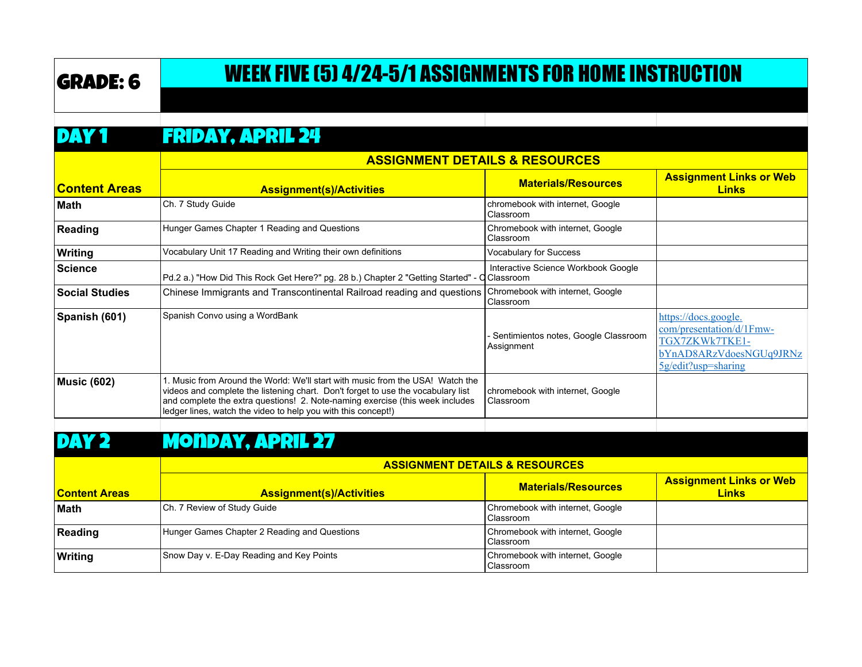# GRADE: 6 WEEK FIVE (5) 4/24-5/1 ASSIGNMENTS FOR HOME INSTRUCTION

#### DAY 1 FRIDAY, APRIL 24

|                       | <b>ASSIGNMENT DETAILS &amp; RESOURCES</b>                                                                                                                                                                                                                                                                            |                                                    |                                                                                                                         |
|-----------------------|----------------------------------------------------------------------------------------------------------------------------------------------------------------------------------------------------------------------------------------------------------------------------------------------------------------------|----------------------------------------------------|-------------------------------------------------------------------------------------------------------------------------|
| <b>Content Areas</b>  | <b>Assignment(s)/Activities</b>                                                                                                                                                                                                                                                                                      | <b>Materials/Resources</b>                         | <b>Assignment Links or Web</b><br><b>Links</b>                                                                          |
| ∣Math                 | Ch. 7 Study Guide                                                                                                                                                                                                                                                                                                    | chromebook with internet, Google<br>Classroom      |                                                                                                                         |
| Reading               | Hunger Games Chapter 1 Reading and Questions                                                                                                                                                                                                                                                                         | Chromebook with internet, Google<br>Classroom      |                                                                                                                         |
| Writing               | Vocabulary Unit 17 Reading and Writing their own definitions                                                                                                                                                                                                                                                         | <b>Vocabulary for Success</b>                      |                                                                                                                         |
| Science               | Pd.2 a.) "How Did This Rock Get Here?" pg. 28 b.) Chapter 2 "Getting Started" - C Classroom                                                                                                                                                                                                                          | Interactive Science Workbook Google                |                                                                                                                         |
| <b>Social Studies</b> | Chinese Immigrants and Transcontinental Railroad reading and questions                                                                                                                                                                                                                                               | Chromebook with internet, Google<br> Classroom     |                                                                                                                         |
| Spanish (601)         | Spanish Convo using a WordBank                                                                                                                                                                                                                                                                                       | Sentimientos notes, Google Classroom<br>Assignment | https://docs.google.<br>com/presentation/d/1Fmw-<br>TGX7ZKWk7TKE1-<br>bYnAD8ARzVdoesNGUq9JRNz<br>$5g$ /edit?usp=sharing |
| <b>Music (602)</b>    | I. Music from Around the World: We'll start with music from the USA! Watch the<br>videos and complete the listening chart. Don't forget to use the vocabulary list<br>and complete the extra questions! 2. Note-naming exercise (this week includes<br>ledger lines, watch the video to help you with this concept!) | chromebook with internet, Google<br>Classroom      |                                                                                                                         |
|                       |                                                                                                                                                                                                                                                                                                                      |                                                    |                                                                                                                         |

#### DAY 2 MONDAY, APRIL 27

|                      | <b>ASSIGNMENT DETAILS &amp; RESOURCES</b>    |                                               |                                                |
|----------------------|----------------------------------------------|-----------------------------------------------|------------------------------------------------|
| <b>Content Areas</b> | <b>Assignment(s)/Activities</b>              | <b>Materials/Resources</b>                    | <b>Assignment Links or Web</b><br><b>Links</b> |
| Math                 | Ch. 7 Review of Study Guide                  | Chromebook with internet, Google<br>Classroom |                                                |
| Reading              | Hunger Games Chapter 2 Reading and Questions | Chromebook with internet, Google<br>Classroom |                                                |
| Writing              | Snow Day v. E-Day Reading and Key Points     | Chromebook with internet, Google<br>Classroom |                                                |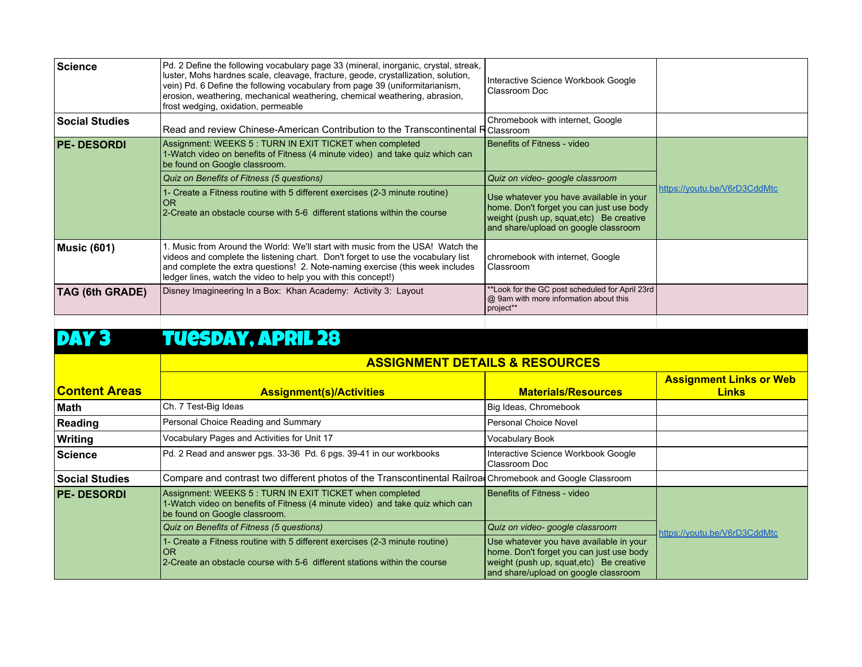| Science               | Pd. 2 Define the following vocabulary page 33 (mineral, inorganic, crystal, streak,<br>luster, Mohs hardnes scale, cleavage, fracture, geode, crystallization, solution,<br>vein) Pd. 6 Define the following vocabulary from page 39 (uniformitarianism,<br>erosion, weathering, mechanical weathering, chemical weathering, abrasion,<br>frost wedging, oxidation, permeable | Interactive Science Workbook Google<br>Classroom Doc                                                                                                                    |                              |
|-----------------------|-------------------------------------------------------------------------------------------------------------------------------------------------------------------------------------------------------------------------------------------------------------------------------------------------------------------------------------------------------------------------------|-------------------------------------------------------------------------------------------------------------------------------------------------------------------------|------------------------------|
| <b>Social Studies</b> | Read and review Chinese-American Contribution to the Transcontinental R Classroom                                                                                                                                                                                                                                                                                             | Chromebook with internet, Google                                                                                                                                        |                              |
| <b>PE-DESORDI</b>     | Assignment: WEEKS 5 : TURN IN EXIT TICKET when completed<br>1-Watch video on benefits of Fitness (4 minute video) and take quiz which can<br>be found on Google classroom.                                                                                                                                                                                                    | Benefits of Fitness - video                                                                                                                                             |                              |
|                       | Quiz on Benefits of Fitness (5 questions)                                                                                                                                                                                                                                                                                                                                     | Quiz on video- google classroom                                                                                                                                         |                              |
|                       | 1- Create a Fitness routine with 5 different exercises (2-3 minute routine)<br><b>OR</b><br>2-Create an obstacle course with 5-6 different stations within the course                                                                                                                                                                                                         | Use whatever you have available in your<br>home. Don't forget you can just use body<br>weight (push up, squat, etc) Be creative<br>and share/upload on google classroom | https://youtu.be/V6rD3CddMtc |
| <b>Music (601)</b>    | . Music from Around the World: We'll start with music from the USA! Watch the<br>videos and complete the listening chart. Don't forget to use the vocabulary list<br>and complete the extra questions! 2. Note-naming exercise (this week includes<br>ledger lines, watch the video to help you with this concept!)                                                           | chromebook with internet, Google<br>Classroom                                                                                                                           |                              |
| TAG (6th GRADE)       | Disney Imagineering In a Box: Khan Academy: Activity 3: Layout                                                                                                                                                                                                                                                                                                                | **Look for the GC post scheduled for April 23rd<br>@ 9am with more information about this<br>project**                                                                  |                              |

## DAY 3 TUESDAY, APRIL 28

|                       | <b>ASSIGNMENT DETAILS &amp; RESOURCES</b>                                                                                                                                  |                                                                                                                                                                         |                                                |
|-----------------------|----------------------------------------------------------------------------------------------------------------------------------------------------------------------------|-------------------------------------------------------------------------------------------------------------------------------------------------------------------------|------------------------------------------------|
| <b>Content Areas</b>  | <b>Assignment(s)/Activities</b>                                                                                                                                            | <b>Materials/Resources</b>                                                                                                                                              | <b>Assignment Links or Web</b><br><b>Links</b> |
| ∣Math                 | Ch. 7 Test-Big Ideas                                                                                                                                                       | Big Ideas, Chromebook                                                                                                                                                   |                                                |
| Reading               | Personal Choice Reading and Summary                                                                                                                                        | Personal Choice Novel                                                                                                                                                   |                                                |
| Writing               | Vocabulary Pages and Activities for Unit 17                                                                                                                                | Vocabulary Book                                                                                                                                                         |                                                |
| ∣Science              | Pd. 2 Read and answer pgs. 33-36 Pd. 6 pgs. 39-41 in our workbooks                                                                                                         | Interactive Science Workbook Google<br>Classroom Doc                                                                                                                    |                                                |
| <b>Social Studies</b> | Compare and contrast two different photos of the Transcontinental Railroad Chromebook and Google Classroom                                                                 |                                                                                                                                                                         |                                                |
| <b>PE-DESORDI</b>     | Assignment: WEEKS 5 : TURN IN EXIT TICKET when completed<br>1-Watch video on benefits of Fitness (4 minute video) and take quiz which can<br>be found on Google classroom. | Benefits of Fitness - video                                                                                                                                             |                                                |
|                       | Quiz on Benefits of Fitness (5 questions)                                                                                                                                  | Quiz on video- google classroom                                                                                                                                         | https://youtu.be/V6rD3CddMtc                   |
|                       | 1- Create a Fitness routine with 5 different exercises (2-3 minute routine)<br><b>OR</b><br>2-Create an obstacle course with 5-6 different stations within the course      | Use whatever you have available in your<br>home. Don't forget you can just use body<br>weight (push up, squat, etc) Be creative<br>and share/upload on google classroom |                                                |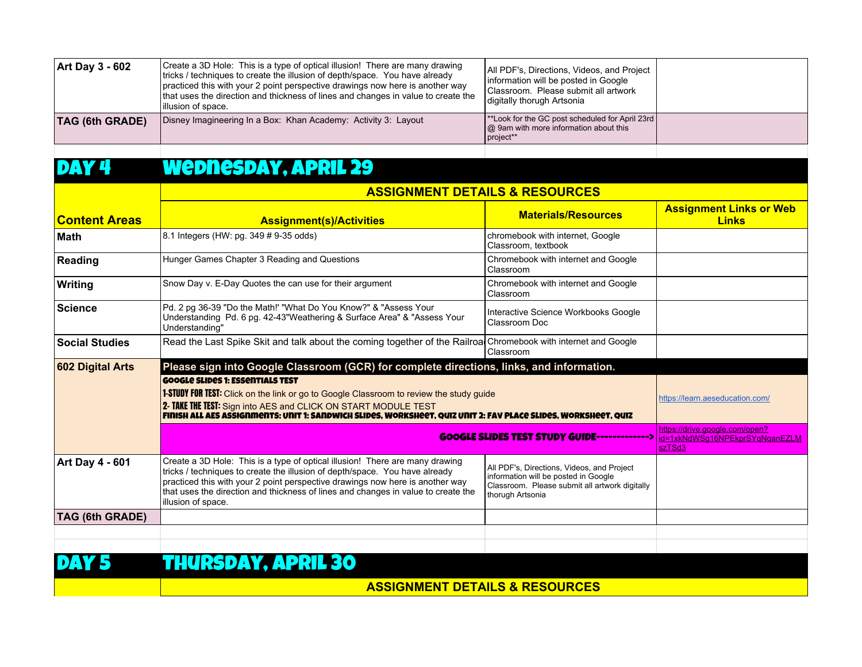|                                                                                                                                                                                                        | practiced this with your 2 point perspective drawings now here is another way<br>that uses the direction and thickness of lines and changes in value to create the<br>illusion of space. | Information will be posted in Google<br>Classroom. Please submit all artwork<br>digitally thorugh Artsonia |  |
|--------------------------------------------------------------------------------------------------------------------------------------------------------------------------------------------------------|------------------------------------------------------------------------------------------------------------------------------------------------------------------------------------------|------------------------------------------------------------------------------------------------------------|--|
| **Look for the GC post scheduled for April 23rd  <br>Disney Imagineering In a Box: Khan Academy: Activity 3: Layout<br><b>TAG (6th GRADE)</b><br>  @ 9am with more information about this<br>project** |                                                                                                                                                                                          |                                                                                                            |  |

#### DAY 4 Wednesday, APRIL 29

|                        | <b>ASSIGNMENT DETAILS &amp; RESOURCES</b>                                                                                                                                                                                                                                                                                                               |                                                                                                                                                          |                                                                            |  |
|------------------------|---------------------------------------------------------------------------------------------------------------------------------------------------------------------------------------------------------------------------------------------------------------------------------------------------------------------------------------------------------|----------------------------------------------------------------------------------------------------------------------------------------------------------|----------------------------------------------------------------------------|--|
| <b>Content Areas</b>   | <b>Assignment(s)/Activities</b>                                                                                                                                                                                                                                                                                                                         | <b>Materials/Resources</b>                                                                                                                               | <b>Assignment Links or Web</b><br><b>Links</b>                             |  |
| <b>Math</b>            | 8.1 Integers (HW: pg. 349 # 9-35 odds)                                                                                                                                                                                                                                                                                                                  | chromebook with internet, Google<br>Classroom, textbook                                                                                                  |                                                                            |  |
| Reading                | Hunger Games Chapter 3 Reading and Questions                                                                                                                                                                                                                                                                                                            | Chromebook with internet and Google<br>Classroom                                                                                                         |                                                                            |  |
| <b>Writing</b>         | Snow Day v. E-Day Quotes the can use for their argument                                                                                                                                                                                                                                                                                                 | Chromebook with internet and Google<br>Classroom                                                                                                         |                                                                            |  |
| <b>Science</b>         | Pd. 2 pg 36-39 "Do the Math!' "What Do You Know?" & "Assess Your<br>Understanding Pd. 6 pg. 42-43"Weathering & Surface Area" & "Assess Your<br>Understanding"                                                                                                                                                                                           | Interactive Science Workbooks Google<br>Classroom Doc                                                                                                    |                                                                            |  |
| <b>Social Studies</b>  | Read the Last Spike Skit and talk about the coming together of the Railroa Chromebook with internet and Google                                                                                                                                                                                                                                          | Classroom                                                                                                                                                |                                                                            |  |
| 602 Digital Arts       | Please sign into Google Classroom (GCR) for complete directions, links, and information.                                                                                                                                                                                                                                                                |                                                                                                                                                          |                                                                            |  |
|                        | <b>GOOGLE SLIDES 1: ESSENTIALS TEST</b><br><b>1-STUDY FOR TEST:</b> Click on the link or go to Google Classroom to review the study guide<br>2- TAKE THE TEST: Sign into AES and CLICK ON START MODULE TEST<br>FINISH ALL AES ASSIGNMENTS: UNIT 1: SANDWICH SLIDES, WORKSHEET, QUIZ UNIT 2: FAV PLACE SLIDES, WORKSHEET, QUIZ                           |                                                                                                                                                          | https://learn.aeseducation.com/                                            |  |
|                        |                                                                                                                                                                                                                                                                                                                                                         | <b>GOOGLE SLIDES TEST STUDY GUIDE--------------&gt;</b>                                                                                                  | https://drive.google.com/open?<br>id=1xkNdWSq16NPEkprSYqNqanEZLM<br>szTSd3 |  |
| <b>Art Day 4 - 601</b> | Create a 3D Hole: This is a type of optical illusion! There are many drawing<br>tricks / techniques to create the illusion of depth/space. You have already<br>practiced this with your 2 point perspective drawings now here is another way<br>that uses the direction and thickness of lines and changes in value to create the<br>illusion of space. | All PDF's, Directions, Videos, and Project<br>information will be posted in Google<br>Classroom. Please submit all artwork digitally<br>thorugh Artsonia |                                                                            |  |
| <b>TAG (6th GRADE)</b> |                                                                                                                                                                                                                                                                                                                                                         |                                                                                                                                                          |                                                                            |  |
|                        |                                                                                                                                                                                                                                                                                                                                                         |                                                                                                                                                          |                                                                            |  |
|                        |                                                                                                                                                                                                                                                                                                                                                         |                                                                                                                                                          |                                                                            |  |

### DAY 5 THURSDAY, APRIL 30

**ASSIGNMENT DETAILS & RESOURCES**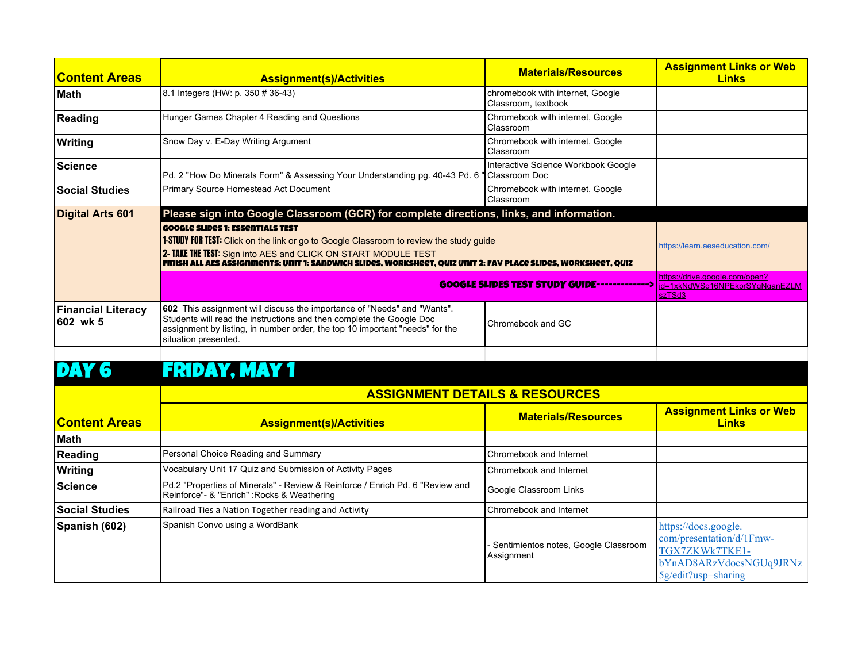| <b>Content Areas</b>                  | <b>Assignment(s)/Activities</b>                                                                                                                                                                                                                                                                                               | <b>Materials/Resources</b>                                                 | <b>Assignment Links or Web</b><br><b>Links</b> |  |
|---------------------------------------|-------------------------------------------------------------------------------------------------------------------------------------------------------------------------------------------------------------------------------------------------------------------------------------------------------------------------------|----------------------------------------------------------------------------|------------------------------------------------|--|
| <b>Math</b>                           | 8.1 Integers (HW: p. 350 # 36-43)                                                                                                                                                                                                                                                                                             | chromebook with internet, Google<br>Classroom, textbook                    |                                                |  |
| Reading                               | Hunger Games Chapter 4 Reading and Questions                                                                                                                                                                                                                                                                                  | Chromebook with internet, Google<br>Classroom                              |                                                |  |
| Writing                               | Snow Day v. E-Day Writing Argument                                                                                                                                                                                                                                                                                            | Chromebook with internet, Google<br>Classroom                              |                                                |  |
| <b>Science</b>                        | Pd. 2 "How Do Minerals Form" & Assessing Your Understanding pg. 40-43 Pd. 6 "Classroom Doc                                                                                                                                                                                                                                    | Interactive Science Workbook Google                                        |                                                |  |
| <b>Social Studies</b>                 | Primary Source Homestead Act Document                                                                                                                                                                                                                                                                                         | Chromebook with internet, Google<br>Classroom                              |                                                |  |
| Digital Arts 601                      | Please sign into Google Classroom (GCR) for complete directions, links, and information.                                                                                                                                                                                                                                      |                                                                            |                                                |  |
|                                       | <b>GOOGLE SLIDES 1: ESSENTIALS TEST</b><br><b>1-STUDY FOR TEST:</b> Click on the link or go to Google Classroom to review the study guide<br>2- TAKE THE TEST: Sign into AES and CLICK ON START MODULE TEST<br>FINISH ALL AES ASSIGNMENTS: UNIT 1: SANDWICH SLIDES, WORKSHEET, QUIZ UNIT 2: FAV PLACE SLIDES, WORKSHEET, QUIZ |                                                                            | https://learn.aeseducation.com/                |  |
|                                       | <b>GOOGLE SLIDES TEST STUDY GUIDE-------------&gt;</b>                                                                                                                                                                                                                                                                        | https://drive.google.com/open?<br>id=1xkNdWSg16NPEkprSYqNqanEZLM<br>szTSd3 |                                                |  |
| <b>Financial Literacy</b><br>602 wk 5 | <b>602</b> This assignment will discuss the importance of "Needs" and "Wants".<br>Students will read the instructions and then complete the Google Doc<br>assignment by listing, in number order, the top 10 important "needs" for the<br>situation presented.                                                                | Chromebook and GC                                                          |                                                |  |
|                                       |                                                                                                                                                                                                                                                                                                                               |                                                                            |                                                |  |

## DAY 6 FRIDAY, MAY 1

|                        | <b>ASSIGNMENT DETAILS &amp; RESOURCES</b>                                                                                    |                                                      |                                                                                                                                                 |
|------------------------|------------------------------------------------------------------------------------------------------------------------------|------------------------------------------------------|-------------------------------------------------------------------------------------------------------------------------------------------------|
| <u> IContent Areas</u> | <b>Assignment(s)/Activities</b>                                                                                              | <b>Materials/Resources</b>                           | <b>Assignment Links or Web</b><br><b>Links</b>                                                                                                  |
| ∣Math                  |                                                                                                                              |                                                      |                                                                                                                                                 |
| Reading                | Personal Choice Reading and Summary                                                                                          | Chromebook and Internet                              |                                                                                                                                                 |
| Writing                | Vocabulary Unit 17 Quiz and Submission of Activity Pages                                                                     | Chromebook and Internet                              |                                                                                                                                                 |
| Science                | Pd.2 "Properties of Minerals" - Review & Reinforce / Enrich Pd. 6 "Review and<br>Reinforce"- & "Enrich" : Rocks & Weathering | Google Classroom Links                               |                                                                                                                                                 |
| <b>Social Studies</b>  | Railroad Ties a Nation Together reading and Activity                                                                         | Chromebook and Internet                              |                                                                                                                                                 |
| Spanish (602)          | Spanish Convo using a WordBank                                                                                               | - Sentimientos notes, Google Classroom<br>Assignment | https://docs.google.<br>$\text{com/presentation}/\text{d}/\text{1F}$ mw-<br>TGX7ZKWk7TKE1-<br>bYnAD8ARzVdoesNGUq9JRNz<br>$5g$ /edit?usp=sharing |